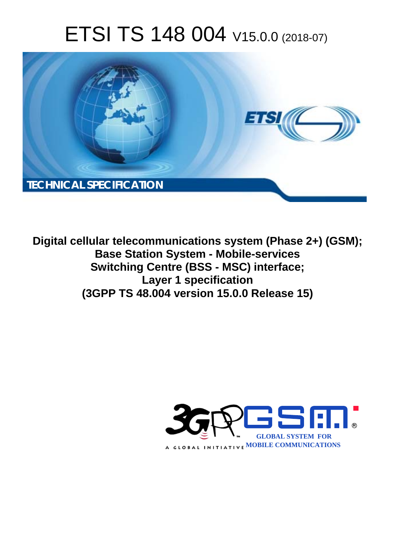# ETSI TS 148 004 V15.0.0 (2018-07)



**Digital cellular telecommunications system (Phase 2+) (GSM); Base Station System - Mobile-services Switching Centre (BSS - MSC) interface; Layer 1 specification (3GPP TS 48.004 version 15.0.0 Release 15)** 

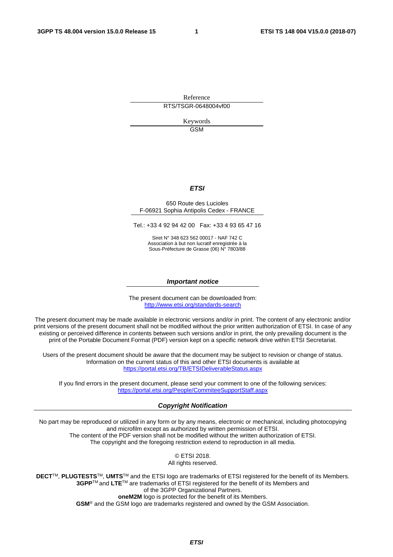Reference RTS/TSGR-0648004vf00

> Keywords GSM

#### *ETSI*

#### 650 Route des Lucioles F-06921 Sophia Antipolis Cedex - FRANCE

Tel.: +33 4 92 94 42 00 Fax: +33 4 93 65 47 16

Siret N° 348 623 562 00017 - NAF 742 C Association à but non lucratif enregistrée à la Sous-Préfecture de Grasse (06) N° 7803/88

#### *Important notice*

The present document can be downloaded from: <http://www.etsi.org/standards-search>

The present document may be made available in electronic versions and/or in print. The content of any electronic and/or print versions of the present document shall not be modified without the prior written authorization of ETSI. In case of any existing or perceived difference in contents between such versions and/or in print, the only prevailing document is the print of the Portable Document Format (PDF) version kept on a specific network drive within ETSI Secretariat.

Users of the present document should be aware that the document may be subject to revision or change of status. Information on the current status of this and other ETSI documents is available at <https://portal.etsi.org/TB/ETSIDeliverableStatus.aspx>

If you find errors in the present document, please send your comment to one of the following services: <https://portal.etsi.org/People/CommiteeSupportStaff.aspx>

#### *Copyright Notification*

No part may be reproduced or utilized in any form or by any means, electronic or mechanical, including photocopying and microfilm except as authorized by written permission of ETSI. The content of the PDF version shall not be modified without the written authorization of ETSI. The copyright and the foregoing restriction extend to reproduction in all media.

> © ETSI 2018. All rights reserved.

**DECT**TM, **PLUGTESTS**TM, **UMTS**TM and the ETSI logo are trademarks of ETSI registered for the benefit of its Members. **3GPP**TM and **LTE**TM are trademarks of ETSI registered for the benefit of its Members and of the 3GPP Organizational Partners. **oneM2M** logo is protected for the benefit of its Members.

**GSM**® and the GSM logo are trademarks registered and owned by the GSM Association.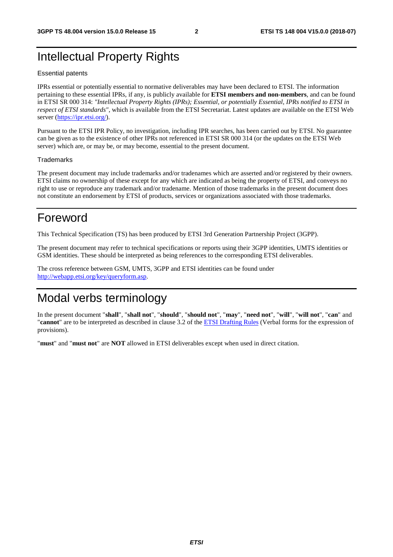### Intellectual Property Rights

#### Essential patents

IPRs essential or potentially essential to normative deliverables may have been declared to ETSI. The information pertaining to these essential IPRs, if any, is publicly available for **ETSI members and non-members**, and can be found in ETSI SR 000 314: *"Intellectual Property Rights (IPRs); Essential, or potentially Essential, IPRs notified to ETSI in respect of ETSI standards"*, which is available from the ETSI Secretariat. Latest updates are available on the ETSI Web server ([https://ipr.etsi.org/\)](https://ipr.etsi.org/).

Pursuant to the ETSI IPR Policy, no investigation, including IPR searches, has been carried out by ETSI. No guarantee can be given as to the existence of other IPRs not referenced in ETSI SR 000 314 (or the updates on the ETSI Web server) which are, or may be, or may become, essential to the present document.

#### **Trademarks**

The present document may include trademarks and/or tradenames which are asserted and/or registered by their owners. ETSI claims no ownership of these except for any which are indicated as being the property of ETSI, and conveys no right to use or reproduce any trademark and/or tradename. Mention of those trademarks in the present document does not constitute an endorsement by ETSI of products, services or organizations associated with those trademarks.

### Foreword

This Technical Specification (TS) has been produced by ETSI 3rd Generation Partnership Project (3GPP).

The present document may refer to technical specifications or reports using their 3GPP identities, UMTS identities or GSM identities. These should be interpreted as being references to the corresponding ETSI deliverables.

The cross reference between GSM, UMTS, 3GPP and ETSI identities can be found under [http://webapp.etsi.org/key/queryform.asp.](http://webapp.etsi.org/key/queryform.asp)

### Modal verbs terminology

In the present document "**shall**", "**shall not**", "**should**", "**should not**", "**may**", "**need not**", "**will**", "**will not**", "**can**" and "**cannot**" are to be interpreted as described in clause 3.2 of the [ETSI Drafting Rules](https://portal.etsi.org/Services/editHelp!/Howtostart/ETSIDraftingRules.aspx) (Verbal forms for the expression of provisions).

"**must**" and "**must not**" are **NOT** allowed in ETSI deliverables except when used in direct citation.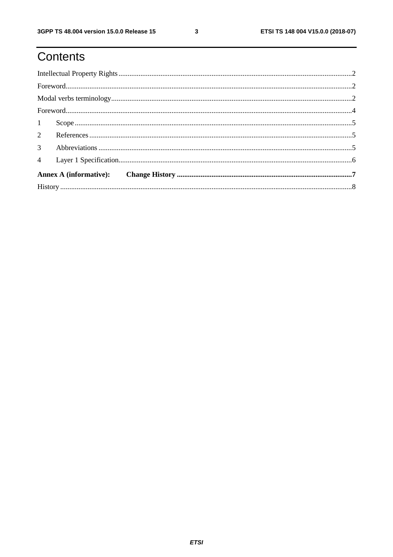## Contents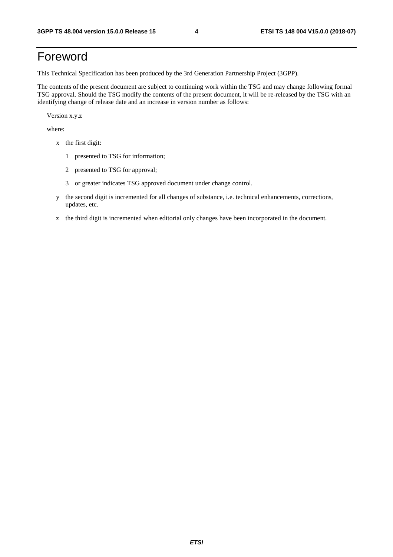### Foreword

This Technical Specification has been produced by the 3rd Generation Partnership Project (3GPP).

The contents of the present document are subject to continuing work within the TSG and may change following formal TSG approval. Should the TSG modify the contents of the present document, it will be re-released by the TSG with an identifying change of release date and an increase in version number as follows:

Version x.y.z

where:

- x the first digit:
	- 1 presented to TSG for information;
	- 2 presented to TSG for approval;
	- 3 or greater indicates TSG approved document under change control.
- y the second digit is incremented for all changes of substance, i.e. technical enhancements, corrections, updates, etc.
- z the third digit is incremented when editorial only changes have been incorporated in the document.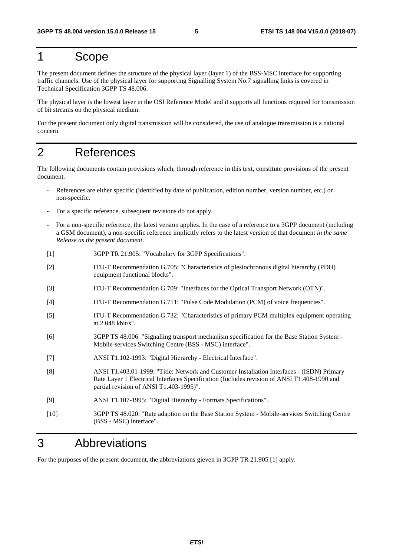#### 1 Scope

The present document defines the structure of the physical layer (layer 1) of the BSS-MSC interface for supporting traffic channels. Use of the physical layer for supporting Signalling System No.7 signalling links is covered in Technical Specification 3GPP TS 48.006.

The physical layer is the lowest layer in the OSI Reference Model and it supports all functions required for transmission of bit streams on the physical medium.

For the present document only digital transmission will be considered, the use of analogue transmission is a national concern.

#### 2 References

The following documents contain provisions which, through reference in this text, constitute provisions of the present document.

- References are either specific (identified by date of publication, edition number, version number, etc.) or non-specific.
- For a specific reference, subsequent revisions do not apply.
- For a non-specific reference, the latest version applies. In the case of a reference to a 3GPP document (including a GSM document), a non-specific reference implicitly refers to the latest version of that document *in the same Release as the present document*.
- [1] 3GPP TR 21.905: "Vocabulary for 3GPP Specifications".
- [2] ITU-T Recommendation G.705: "Characteristics of plesiochronous digital hierarchy (PDH) equipment functional blocks".
- [3] ITU-T Recommendation G.709: "Interfaces for the Optical Transport Network (OTN)".
- [4] ITU-T Recommendation G.711: "Pulse Code Modulation (PCM) of voice frequencies".
- [5] ITU-T Recommendation G.732: "Characteristics of primary PCM multiplex equipment operating at 2 048 kbit/s".
- [6] 3GPP TS 48.006: "Signalling transport mechanism specification for the Base Station System Mobile-services Switching Centre (BSS - MSC) interface".
- [7] ANSI T1.102-1993: "Digital Hierarchy Electrical Interface".
- [8] ANSI T1.403.01-1999: "Title: Network and Customer Installation Interfaces (ISDN) Primary Rate Layer 1 Electrical Interfaces Specification (Includes revision of ANSI T1.408-1990 and partial revision of ANSI T1.403-1995)".
- [9] ANSI T1.107-1995: "Digital Hierarchy Formats Specifications".
- [10] 3GPP TS 48.020: "Rate adaption on the Base Station System Mobile-services Switching Centre (BSS - MSC) interface".

#### 3 Abbreviations

For the purposes of the present document, the abbreviations gieven in 3GPP TR 21.905 [1] apply.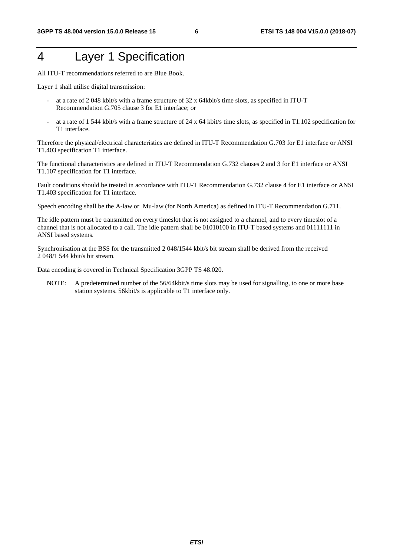### 4 Layer 1 Specification

All ITU-T recommendations referred to are Blue Book.

Layer 1 shall utilise digital transmission:

- at a rate of 2 048 kbit/s with a frame structure of 32 x 64kbit/s time slots, as specified in ITU-T Recommendation G.705 clause 3 for E1 interface; or
- at a rate of 1 544 kbit/s with a frame structure of 24 x 64 kbit/s time slots, as specified in T1.102 specification for T1 interface.

Therefore the physical/electrical characteristics are defined in ITU-T Recommendation G.703 for E1 interface or ANSI T1.403 specification T1 interface.

The functional characteristics are defined in ITU-T Recommendation G.732 clauses 2 and 3 for E1 interface or ANSI T1.107 specification for T1 interface.

Fault conditions should be treated in accordance with ITU-T Recommendation G.732 clause 4 for E1 interface or ANSI T1.403 specification for T1 interface.

Speech encoding shall be the A-law or Mu-law (for North America) as defined in ITU-T Recommendation G.711.

The idle pattern must be transmitted on every timeslot that is not assigned to a channel, and to every timeslot of a channel that is not allocated to a call. The idle pattern shall be 01010100 in ITU-T based systems and 01111111 in ANSI based systems.

Synchronisation at the BSS for the transmitted 2 048/1544 kbit/s bit stream shall be derived from the received 2 048/1 544 kbit/s bit stream.

Data encoding is covered in Technical Specification 3GPP TS 48.020.

NOTE: A predetermined number of the 56/64kbit/s time slots may be used for signalling, to one or more base station systems. 56kbit/s is applicable to T1 interface only.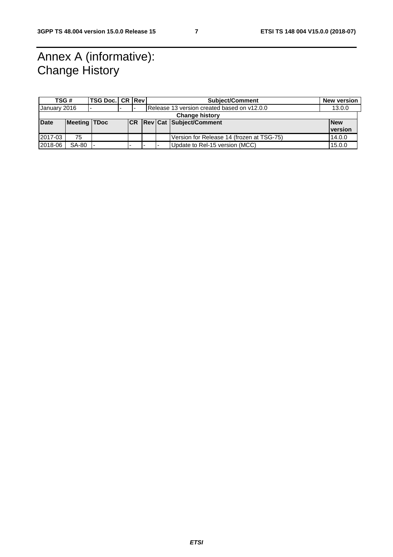### Annex A (informative): Change History

| TSG #                 |                     | <b>TSG Doc. CR Revi</b> |                          |  |  |  | <b>Subject/Comment</b>                      |  | <b>New version</b> |
|-----------------------|---------------------|-------------------------|--------------------------|--|--|--|---------------------------------------------|--|--------------------|
| January 2016          |                     |                         |                          |  |  |  | Release 13 version created based on y12.0.0 |  | 13.0.0             |
| <b>Change history</b> |                     |                         |                          |  |  |  |                                             |  |                    |
| <b>Date</b>           | <b>Meeting TDoc</b> |                         |                          |  |  |  | <b>CR Rev Cat Subject/Comment</b>           |  | <b>New</b>         |
|                       |                     |                         |                          |  |  |  |                                             |  | <b>version</b>     |
| 2017-03               | 75                  |                         |                          |  |  |  | Version for Release 14 (frozen at TSG-75)   |  | 14.0.0             |
| 2018-06               | <b>SA-80</b>        |                         | $\overline{\phantom{a}}$ |  |  |  | Update to Rel-15 version (MCC)              |  | 15.0.0             |